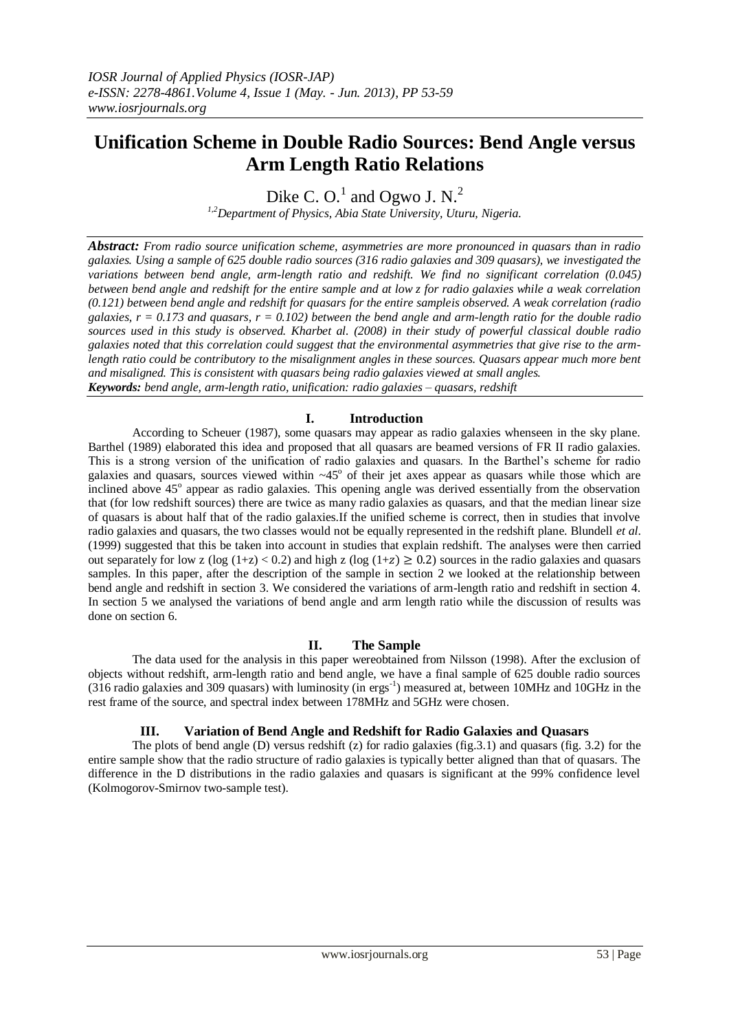# **Unification Scheme in Double Radio Sources: Bend Angle versus Arm Length Ratio Relations**

Dike C. O.<sup>1</sup> and Ogwo J. N.<sup>2</sup>

*1,2Department of Physics, Abia State University, Uturu, Nigeria.*

*Abstract: From radio source unification scheme, asymmetries are more pronounced in quasars than in radio galaxies. Using a sample of 625 double radio sources (316 radio galaxies and 309 quasars), we investigated the variations between bend angle, arm-length ratio and redshift. We find no significant correlation (0.045) between bend angle and redshift for the entire sample and at low z for radio galaxies while a weak correlation (0.121) between bend angle and redshift for quasars for the entire sampleis observed. A weak correlation (radio galaxies, r = 0.173 and quasars, r = 0.102) between the bend angle and arm-length ratio for the double radio sources used in this study is observed. Kharbet al. (2008) in their study of powerful classical double radio galaxies noted that this correlation could suggest that the environmental asymmetries that give rise to the armlength ratio could be contributory to the misalignment angles in these sources. Quasars appear much more bent and misaligned. This is consistent with quasars being radio galaxies viewed at small angles. Keywords: bend angle, arm-length ratio, unification: radio galaxies – quasars, redshift*

### **I. Introduction**

According to Scheuer (1987), some quasars may appear as radio galaxies whenseen in the sky plane. Barthel (1989) elaborated this idea and proposed that all quasars are beamed versions of FR II radio galaxies. This is a strong version of the unification of radio galaxies and quasars. In the Barthel's scheme for radio galaxies and quasars, sources viewed within  $\sim45^{\circ}$  of their jet axes appear as quasars while those which are inclined above 45<sup>°</sup> appear as radio galaxies. This opening angle was derived essentially from the observation that (for low redshift sources) there are twice as many radio galaxies as quasars, and that the median linear size of quasars is about half that of the radio galaxies.If the unified scheme is correct, then in studies that involve radio galaxies and quasars, the two classes would not be equally represented in the redshift plane. Blundell *et al*. (1999) suggested that this be taken into account in studies that explain redshift. The analyses were then carried out separately for low z (log  $(1+z) < 0.2$ ) and high z (log  $(1+z) \ge 0.2$ ) sources in the radio galaxies and quasars samples. In this paper, after the description of the sample in section 2 we looked at the relationship between bend angle and redshift in section 3. We considered the variations of arm-length ratio and redshift in section 4. In section 5 we analysed the variations of bend angle and arm length ratio while the discussion of results was done on section 6.

#### **II. The Sample**

The data used for the analysis in this paper wereobtained from Nilsson (1998). After the exclusion of objects without redshift, arm-length ratio and bend angle, we have a final sample of 625 double radio sources  $(316 \text{ radio galaxies and } 309 \text{ quasars})$  with luminosity (in ergs<sup>-1</sup>) measured at, between 10MHz and 10GHz in the rest frame of the source, and spectral index between 178MHz and 5GHz were chosen.

#### **III. Variation of Bend Angle and Redshift for Radio Galaxies and Quasars**

The plots of bend angle (D) versus redshift (z) for radio galaxies (fig. 3.1) and quasars (fig. 3.2) for the entire sample show that the radio structure of radio galaxies is typically better aligned than that of quasars. The difference in the D distributions in the radio galaxies and quasars is significant at the 99% confidence level (Kolmogorov-Smirnov two-sample test).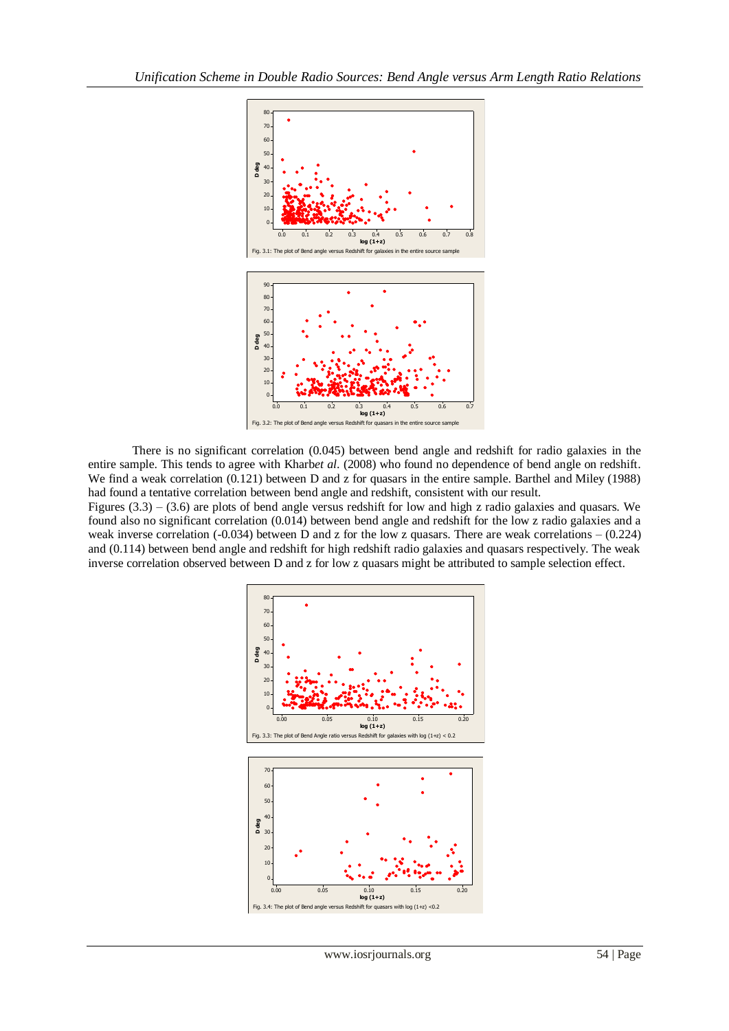

There is no significant correlation (0.045) between bend angle and redshift for radio galaxies in the entire sample. This tends to agree with Kharb*et al*. (2008) who found no dependence of bend angle on redshift. We find a weak correlation  $(0.121)$  between D and z for quasars in the entire sample. Barthel and Miley (1988) had found a tentative correlation between bend angle and redshift, consistent with our result.

Figures (3.3) – (3.6) are plots of bend angle versus redshift for low and high z radio galaxies and quasars. We found also no significant correlation (0.014) between bend angle and redshift for the low z radio galaxies and a weak inverse correlation (-0.034) between D and z for the low z quasars. There are weak correlations – (0.224) and (0.114) between bend angle and redshift for high redshift radio galaxies and quasars respectively. The weak inverse correlation observed between D and z for low z quasars might be attributed to sample selection effect.

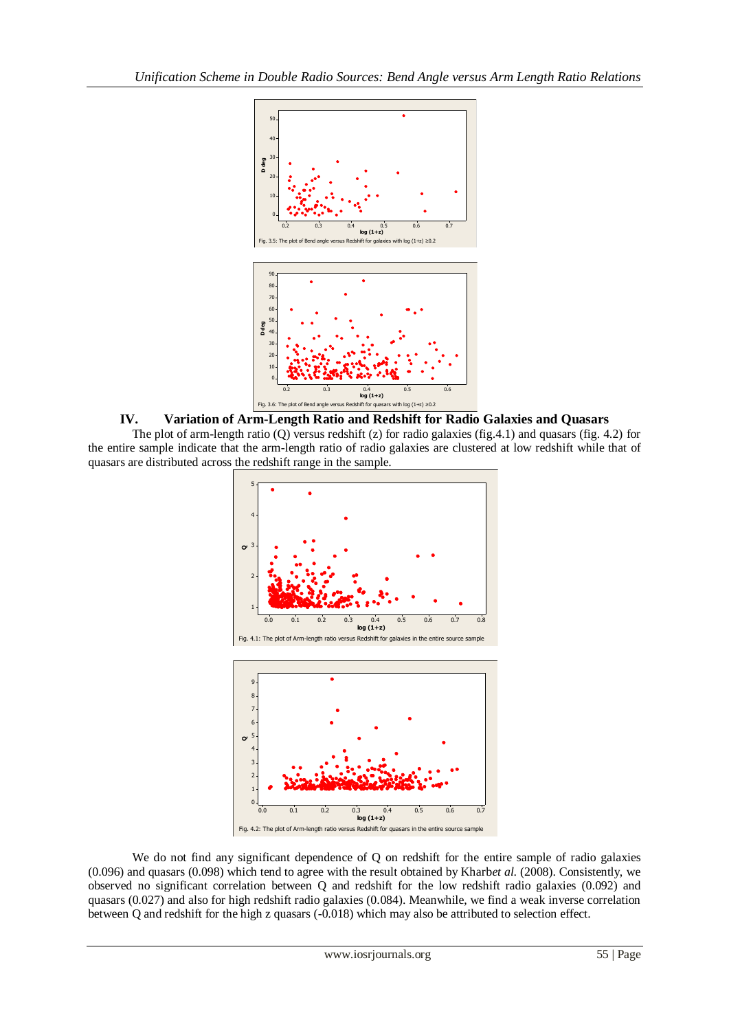

### **IV. Variation of Arm-Length Ratio and Redshift for Radio Galaxies and Quasars**

The plot of arm-length ratio (Q) versus redshift (z) for radio galaxies (fig.4.1) and quasars (fig. 4.2) for the entire sample indicate that the arm-length ratio of radio galaxies are clustered at low redshift while that of quasars are distributed across the redshift range in the sample.



We do not find any significant dependence of Q on redshift for the entire sample of radio galaxies (0.096) and quasars (0.098) which tend to agree with the result obtained by Kharb*et al*. (2008). Consistently, we observed no significant correlation between Q and redshift for the low redshift radio galaxies (0.092) and quasars (0.027) and also for high redshift radio galaxies (0.084). Meanwhile, we find a weak inverse correlation between Q and redshift for the high z quasars (-0.018) which may also be attributed to selection effect.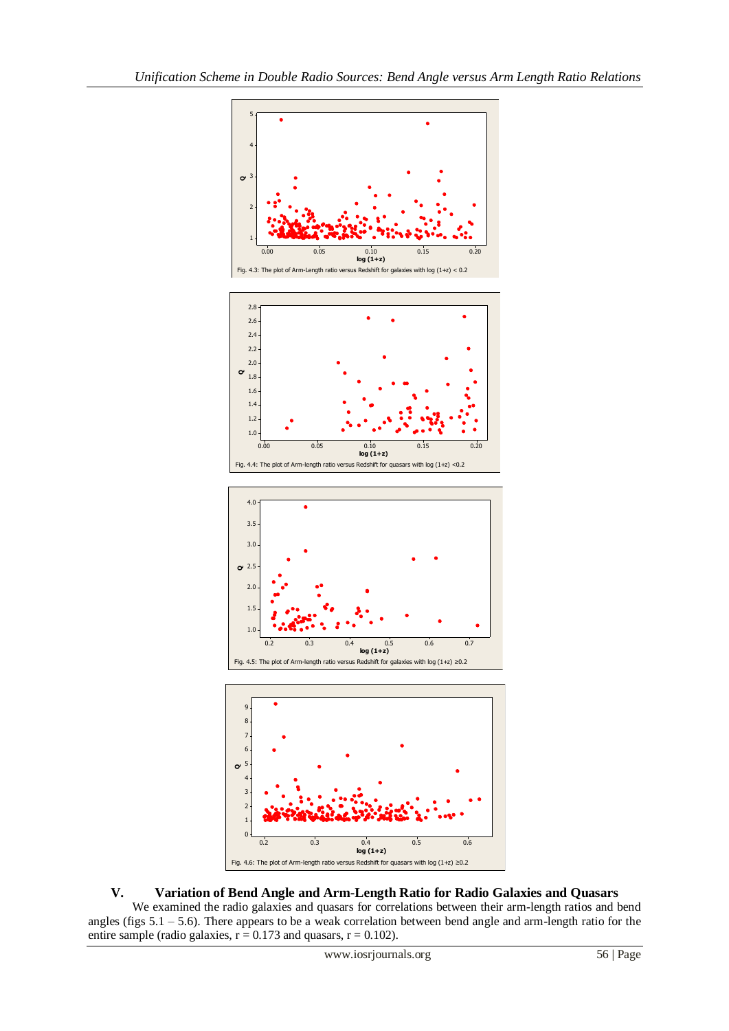

## **V. Variation of Bend Angle and Arm-Length Ratio for Radio Galaxies and Quasars**

We examined the radio galaxies and quasars for correlations between their arm-length ratios and bend angles (figs 5.1 – 5.6). There appears to be a weak correlation between bend angle and arm-length ratio for the entire sample (radio galaxies,  $r = 0.173$  and quasars,  $r = 0.102$ ).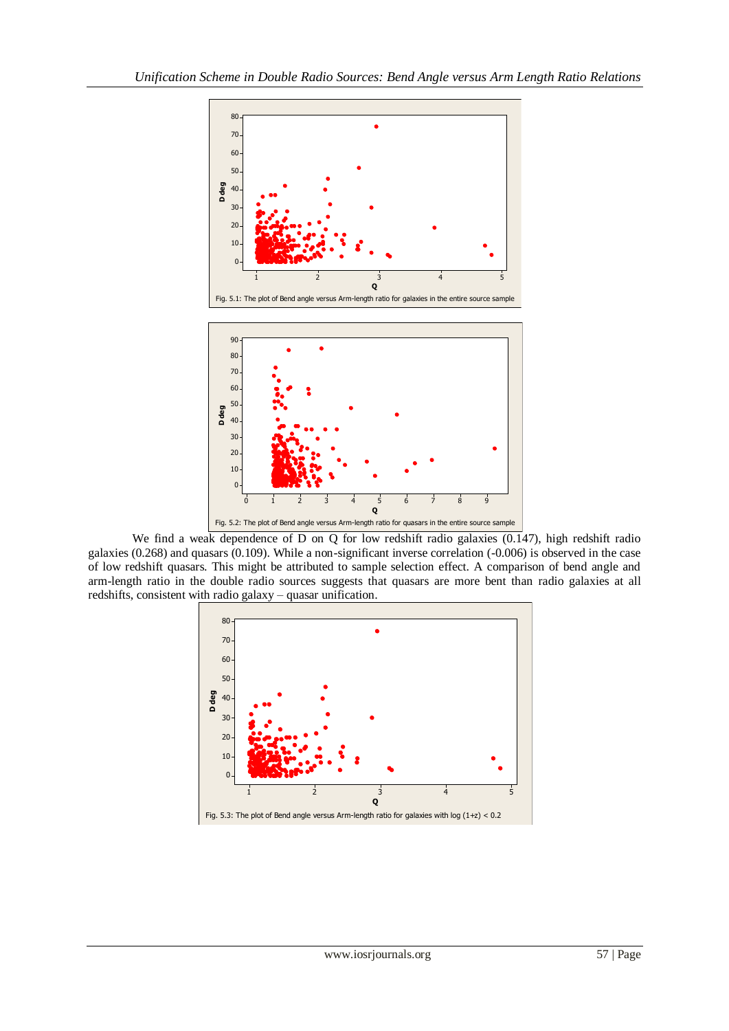

We find a weak dependence of D on Q for low redshift radio galaxies (0.147), high redshift radio galaxies (0.268) and quasars (0.109). While a non-significant inverse correlation (-0.006) is observed in the case of low redshift quasars. This might be attributed to sample selection effect. A comparison of bend angle and arm-length ratio in the double radio sources suggests that quasars are more bent than radio galaxies at all redshifts, consistent with radio galaxy – quasar unification.

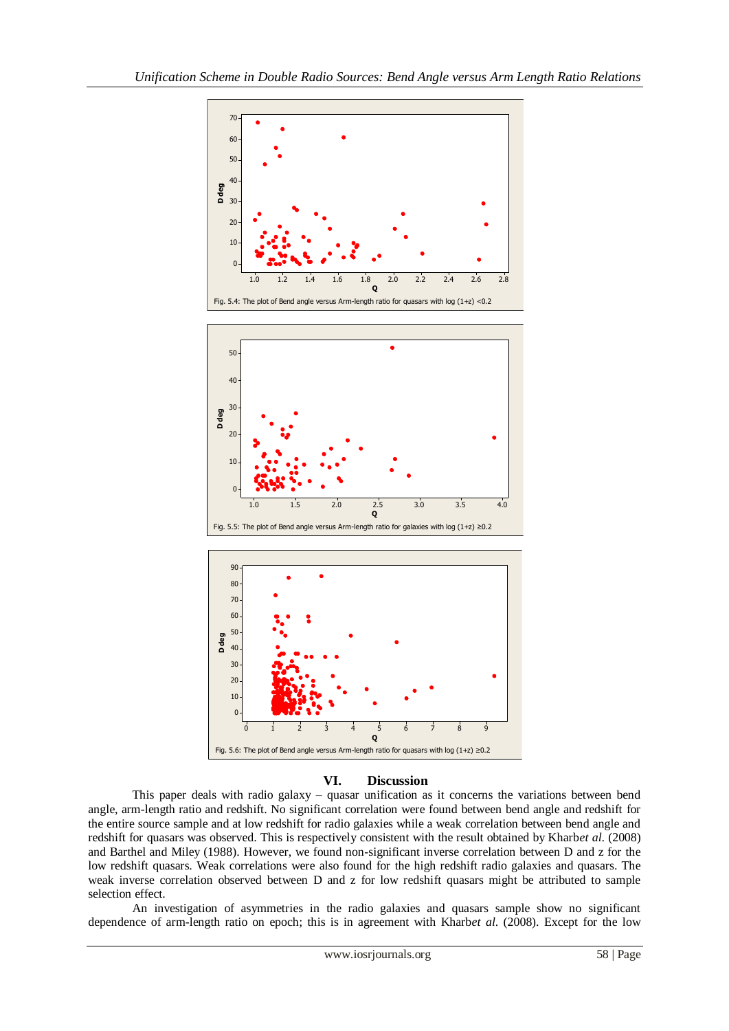

#### **VI. Discussion**

This paper deals with radio galaxy – quasar unification as it concerns the variations between bend angle, arm-length ratio and redshift. No significant correlation were found between bend angle and redshift for the entire source sample and at low redshift for radio galaxies while a weak correlation between bend angle and redshift for quasars was observed. This is respectively consistent with the result obtained by Kharb*et al*. (2008) and Barthel and Miley (1988). However, we found non-significant inverse correlation between D and z for the low redshift quasars. Weak correlations were also found for the high redshift radio galaxies and quasars. The weak inverse correlation observed between D and z for low redshift quasars might be attributed to sample selection effect.

An investigation of asymmetries in the radio galaxies and quasars sample show no significant dependence of arm-length ratio on epoch; this is in agreement with Kharb*et al*. (2008). Except for the low